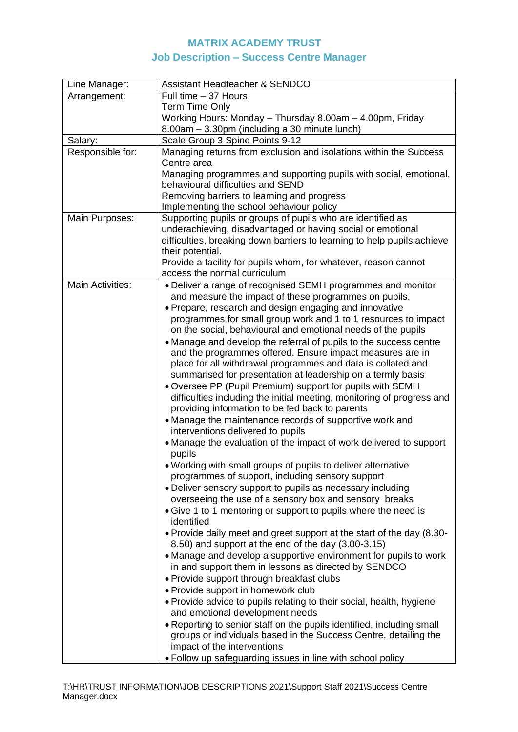## **MATRIX ACADEMY TRUST Job Description – Success Centre Manager**

| Line Manager:           | <b>Assistant Headteacher &amp; SENDCO</b>                                    |  |  |
|-------------------------|------------------------------------------------------------------------------|--|--|
| Arrangement:            | Full time - 37 Hours                                                         |  |  |
|                         | <b>Term Time Only</b>                                                        |  |  |
|                         | Working Hours: Monday - Thursday 8.00am - 4.00pm, Friday                     |  |  |
|                         | 8.00am - 3.30pm (including a 30 minute lunch)                                |  |  |
| Salary:                 | Scale Group 3 Spine Points 9-12                                              |  |  |
| Responsible for:        | Managing returns from exclusion and isolations within the Success            |  |  |
|                         | Centre area                                                                  |  |  |
|                         | Managing programmes and supporting pupils with social, emotional,            |  |  |
|                         | behavioural difficulties and SEND                                            |  |  |
|                         | Removing barriers to learning and progress                                   |  |  |
|                         | Implementing the school behaviour policy                                     |  |  |
| Main Purposes:          | Supporting pupils or groups of pupils who are identified as                  |  |  |
|                         | underachieving, disadvantaged or having social or emotional                  |  |  |
|                         | difficulties, breaking down barriers to learning to help pupils achieve      |  |  |
|                         | their potential.                                                             |  |  |
|                         | Provide a facility for pupils whom, for whatever, reason cannot              |  |  |
|                         | access the normal curriculum                                                 |  |  |
| <b>Main Activities:</b> | • Deliver a range of recognised SEMH programmes and monitor                  |  |  |
|                         | and measure the impact of these programmes on pupils.                        |  |  |
|                         | · Prepare, research and design engaging and innovative                       |  |  |
|                         | programmes for small group work and 1 to 1 resources to impact               |  |  |
|                         | on the social, behavioural and emotional needs of the pupils                 |  |  |
|                         | • Manage and develop the referral of pupils to the success centre            |  |  |
|                         | and the programmes offered. Ensure impact measures are in                    |  |  |
|                         | place for all withdrawal programmes and data is collated and                 |  |  |
|                         | summarised for presentation at leadership on a termly basis                  |  |  |
|                         | . Oversee PP (Pupil Premium) support for pupils with SEMH                    |  |  |
|                         | difficulties including the initial meeting, monitoring of progress and       |  |  |
|                         | providing information to be fed back to parents                              |  |  |
|                         | • Manage the maintenance records of supportive work and                      |  |  |
|                         | interventions delivered to pupils                                            |  |  |
|                         | • Manage the evaluation of the impact of work delivered to support           |  |  |
|                         | pupils                                                                       |  |  |
|                         | . Working with small groups of pupils to deliver alternative                 |  |  |
|                         | programmes of support, including sensory support                             |  |  |
|                         | • Deliver sensory support to pupils as necessary including                   |  |  |
|                         | overseeing the use of a sensory box and sensory breaks                       |  |  |
|                         | • Give 1 to 1 mentoring or support to pupils where the need is<br>identified |  |  |
|                         | • Provide daily meet and greet support at the start of the day (8.30-        |  |  |
|                         | 8.50) and support at the end of the day (3.00-3.15)                          |  |  |
|                         | • Manage and develop a supportive environment for pupils to work             |  |  |
|                         | in and support them in lessons as directed by SENDCO                         |  |  |
|                         | • Provide support through breakfast clubs                                    |  |  |
|                         | • Provide support in homework club                                           |  |  |
|                         | • Provide advice to pupils relating to their social, health, hygiene         |  |  |
|                         | and emotional development needs                                              |  |  |
|                         | • Reporting to senior staff on the pupils identified, including small        |  |  |
|                         | groups or individuals based in the Success Centre, detailing the             |  |  |
|                         | impact of the interventions                                                  |  |  |
|                         | . Follow up safeguarding issues in line with school policy                   |  |  |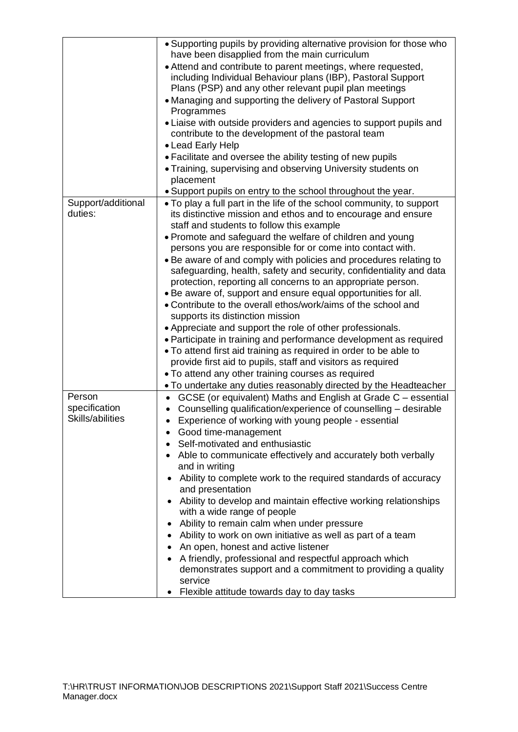|                                             | • Supporting pupils by providing alternative provision for those who         |  |  |
|---------------------------------------------|------------------------------------------------------------------------------|--|--|
|                                             | have been disapplied from the main curriculum                                |  |  |
|                                             | • Attend and contribute to parent meetings, where requested,                 |  |  |
|                                             | including Individual Behaviour plans (IBP), Pastoral Support                 |  |  |
|                                             | Plans (PSP) and any other relevant pupil plan meetings                       |  |  |
|                                             | • Managing and supporting the delivery of Pastoral Support<br>Programmes     |  |  |
|                                             | • Liaise with outside providers and agencies to support pupils and           |  |  |
|                                             | contribute to the development of the pastoral team                           |  |  |
|                                             | • Lead Early Help                                                            |  |  |
|                                             |                                                                              |  |  |
|                                             | • Facilitate and oversee the ability testing of new pupils                   |  |  |
|                                             | • Training, supervising and observing University students on<br>placement    |  |  |
|                                             | . Support pupils on entry to the school throughout the year.                 |  |  |
| Support/additional                          | • To play a full part in the life of the school community, to support        |  |  |
| duties:                                     | its distinctive mission and ethos and to encourage and ensure                |  |  |
|                                             | staff and students to follow this example                                    |  |  |
|                                             |                                                                              |  |  |
|                                             | • Promote and safeguard the welfare of children and young                    |  |  |
|                                             | persons you are responsible for or come into contact with.                   |  |  |
|                                             | . Be aware of and comply with policies and procedures relating to            |  |  |
|                                             | safeguarding, health, safety and security, confidentiality and data          |  |  |
|                                             | protection, reporting all concerns to an appropriate person.                 |  |  |
|                                             | • Be aware of, support and ensure equal opportunities for all.               |  |  |
|                                             | • Contribute to the overall ethos/work/aims of the school and                |  |  |
|                                             | supports its distinction mission                                             |  |  |
|                                             | • Appreciate and support the role of other professionals.                    |  |  |
|                                             | • Participate in training and performance development as required            |  |  |
|                                             | . To attend first aid training as required in order to be able to            |  |  |
|                                             | provide first aid to pupils, staff and visitors as required                  |  |  |
|                                             | . To attend any other training courses as required                           |  |  |
|                                             | . To undertake any duties reasonably directed by the Headteacher             |  |  |
| Person<br>specification<br>Skills/abilities | GCSE (or equivalent) Maths and English at Grade C - essential                |  |  |
|                                             | Counselling qualification/experience of counselling - desirable<br>$\bullet$ |  |  |
|                                             | Experience of working with young people - essential<br>$\bullet$             |  |  |
|                                             | Good time-management                                                         |  |  |
|                                             | Self-motivated and enthusiastic                                              |  |  |
|                                             | Able to communicate effectively and accurately both verbally                 |  |  |
|                                             | and in writing                                                               |  |  |
|                                             | Ability to complete work to the required standards of accuracy               |  |  |
|                                             | and presentation                                                             |  |  |
|                                             | Ability to develop and maintain effective working relationships<br>٠         |  |  |
|                                             | with a wide range of people                                                  |  |  |
|                                             | Ability to remain calm when under pressure                                   |  |  |
|                                             | Ability to work on own initiative as well as part of a team                  |  |  |
|                                             | An open, honest and active listener                                          |  |  |
|                                             | A friendly, professional and respectful approach which                       |  |  |
|                                             | demonstrates support and a commitment to providing a quality                 |  |  |
|                                             | service                                                                      |  |  |
|                                             | Flexible attitude towards day to day tasks<br>٠                              |  |  |